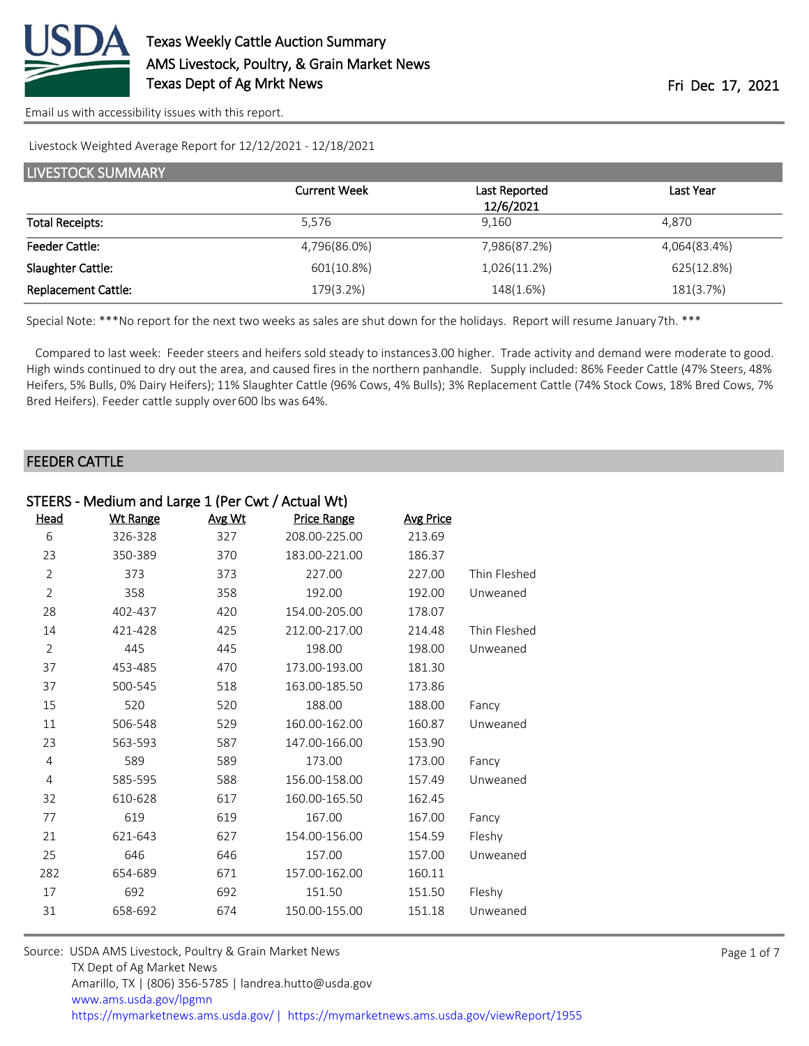

Livestock Weighted Average Report for 12/12/2021 - 12/18/2021

| <b>LIVESTOCK SUMMARY</b>   |                     |                            |              |  |  |  |
|----------------------------|---------------------|----------------------------|--------------|--|--|--|
|                            | <b>Current Week</b> | Last Reported<br>12/6/2021 | Last Year    |  |  |  |
| <b>Total Receipts:</b>     | 5.576               | 9.160                      | 4.870        |  |  |  |
| <b>Feeder Cattle:</b>      | 4,796(86.0%)        | 7,986(87.2%)               | 4,064(83.4%) |  |  |  |
| Slaughter Cattle:          | 601(10.8%)          | 1,026(11.2%)               | 625(12.8%)   |  |  |  |
| <b>Replacement Cattle:</b> | 179(3.2%)           | 148(1.6%)                  | 181(3.7%)    |  |  |  |

Special Note: \*\*\*No report for the next two weeks as sales are shut down for the holidays. Report will resume January 7th. \*\*\*

 Compared to last week: Feeder steers and heifers sold steady to instances 3.00 higher. Trade activity and demand were moderate to good. High winds continued to dry out the area, and caused fires in the northern panhandle. Supply included: 86% Feeder Cattle (47% Steers, 48% Heifers, 5% Bulls, 0% Dairy Heifers); 11% Slaughter Cattle (96% Cows, 4% Bulls); 3% Replacement Cattle (74% Stock Cows, 18% Bred Cows, 7% Bred Heifers). Feeder cattle supply over 600 lbs was 64%.

## FEEDER CATTLE

| STEERS - Medium and Large 1 (Per Cwt / Actual Wt) |                 |        |                    |                  |              |
|---------------------------------------------------|-----------------|--------|--------------------|------------------|--------------|
| Head                                              | <b>Wt Range</b> | Avg Wt | <b>Price Range</b> | <b>Avg Price</b> |              |
| 6                                                 | 326-328         | 327    | 208.00-225.00      | 213.69           |              |
| 23                                                | 350-389         | 370    | 183.00-221.00      | 186.37           |              |
| $\overline{2}$                                    | 373             | 373    | 227.00             | 227.00           | Thin Fleshed |
| $\overline{2}$                                    | 358             | 358    | 192.00             | 192.00           | Unweaned     |
| 28                                                | 402-437         | 420    | 154.00-205.00      | 178.07           |              |
| 14                                                | 421-428         | 425    | 212.00-217.00      | 214.48           | Thin Fleshed |
| $\overline{2}$                                    | 445             | 445    | 198.00             | 198.00           | Unweaned     |
| 37                                                | 453-485         | 470    | 173.00-193.00      | 181.30           |              |
| 37                                                | 500-545         | 518    | 163.00-185.50      | 173.86           |              |
| 15                                                | 520             | 520    | 188.00             | 188.00           | Fancy        |
| 11                                                | 506-548         | 529    | 160.00-162.00      | 160.87           | Unweaned     |
| 23                                                | 563-593         | 587    | 147.00-166.00      | 153.90           |              |
| 4                                                 | 589             | 589    | 173.00             | 173.00           | Fancy        |
| 4                                                 | 585-595         | 588    | 156.00-158.00      | 157.49           | Unweaned     |
| 32                                                | 610-628         | 617    | 160.00-165.50      | 162.45           |              |
| 77                                                | 619             | 619    | 167.00             | 167.00           | Fancy        |
| 21                                                | 621-643         | 627    | 154.00-156.00      | 154.59           | Fleshy       |
| 25                                                | 646             | 646    | 157.00             | 157.00           | Unweaned     |
| 282                                               | 654-689         | 671    | 157.00-162.00      | 160.11           |              |
| 17                                                | 692             | 692    | 151.50             | 151.50           | Fleshy       |
| 31                                                | 658-692         | 674    | 150.00-155.00      | 151.18           | Unweaned     |
|                                                   |                 |        |                    |                  |              |

| Source: USDA AMS Livestock, Poultry & Grain Market News                               |
|---------------------------------------------------------------------------------------|
| TX Dept of Ag Market News                                                             |
| Amarillo, TX   (806) 356-5785   landrea.hutto@usda.gov                                |
| www.ams.usda.gov/lpgmn                                                                |
| https://mymarketnews.ams.usda.gov/  https://mymarketnews.ams.usda.gov/viewReport/1955 |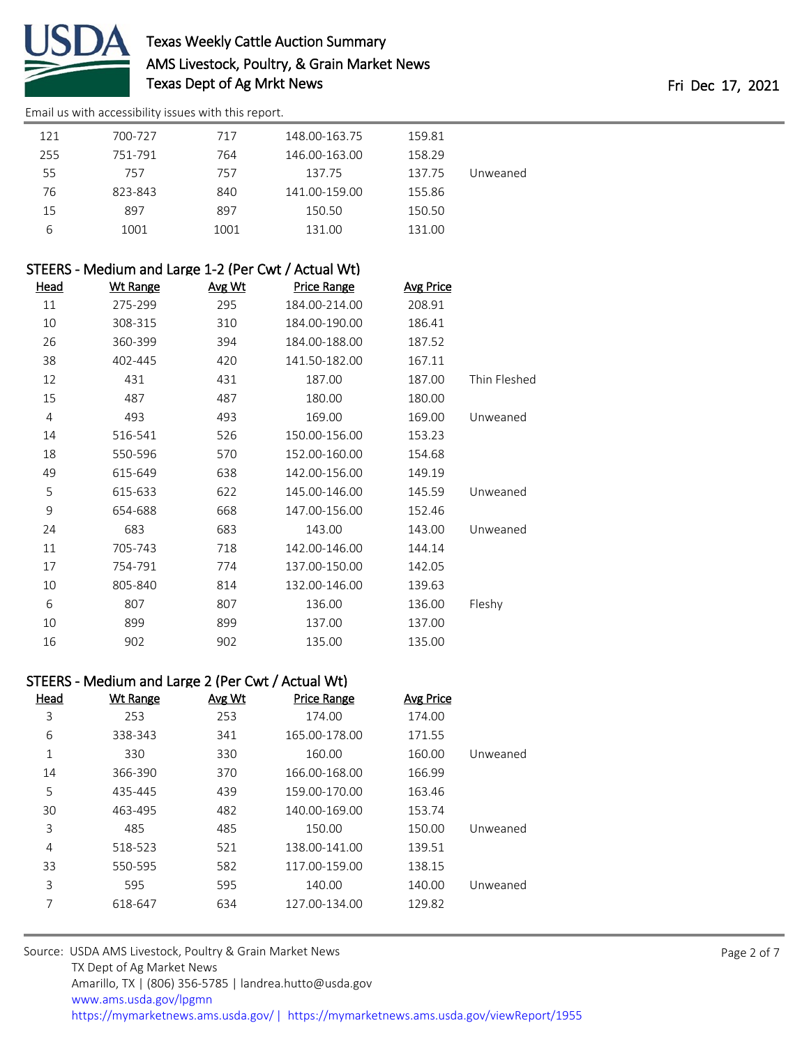

# Texas Weekly Cattle Auction Summary AMS Livestock, Poultry, & Grain Market News Texas Dept of Ag Mrkt News Texas Dept of Ag Mrkt News

[Email us with accessibility issues with this report.](mailto:mars@ams.usda.gov?subject=508%20issue)

| 121 | 700-727 | 717  | 148.00-163.75 | 159.81 |          |
|-----|---------|------|---------------|--------|----------|
| 255 | 751-791 | 764  | 146.00-163.00 | 158.29 |          |
| 55  | 757     | 757  | 137.75        | 137.75 | Unweaned |
| 76  | 823-843 | 840  | 141.00-159.00 | 155.86 |          |
| 15  | 897     | 897  | 150.50        | 150.50 |          |
| 6   | 1001    | 1001 | 131.00        | 131.00 |          |

| STEERS - Medium and Large 1-2 (Per Cwt / Actual Wt) |          |        |                    |                  |              |
|-----------------------------------------------------|----------|--------|--------------------|------------------|--------------|
| <u>Head</u>                                         | Wt Range | Avg Wt | <b>Price Range</b> | <b>Avg Price</b> |              |
| 11                                                  | 275-299  | 295    | 184.00-214.00      | 208.91           |              |
| 10                                                  | 308-315  | 310    | 184.00-190.00      | 186.41           |              |
| 26                                                  | 360-399  | 394    | 184.00-188.00      | 187.52           |              |
| 38                                                  | 402-445  | 420    | 141.50-182.00      | 167.11           |              |
| 12                                                  | 431      | 431    | 187.00             | 187.00           | Thin Fleshed |
| 15                                                  | 487      | 487    | 180.00             | 180.00           |              |
| $\overline{4}$                                      | 493      | 493    | 169.00             | 169.00           | Unweaned     |
| 14                                                  | 516-541  | 526    | 150.00-156.00      | 153.23           |              |
| 18                                                  | 550-596  | 570    | 152.00-160.00      | 154.68           |              |
| 49                                                  | 615-649  | 638    | 142.00-156.00      | 149.19           |              |
| 5                                                   | 615-633  | 622    | 145.00-146.00      | 145.59           | Unweaned     |
| 9                                                   | 654-688  | 668    | 147.00-156.00      | 152.46           |              |
| 24                                                  | 683      | 683    | 143.00             | 143.00           | Unweaned     |
| 11                                                  | 705-743  | 718    | 142.00-146.00      | 144.14           |              |
| 17                                                  | 754-791  | 774    | 137.00-150.00      | 142.05           |              |
| 10                                                  | 805-840  | 814    | 132.00-146.00      | 139.63           |              |
| 6                                                   | 807      | 807    | 136.00             | 136.00           | Fleshy       |
| 10                                                  | 899      | 899    | 137.00             | 137.00           |              |
| 16                                                  | 902      | 902    | 135.00             | 135.00           |              |

# STEERS - Medium and Large 2 (Per Cwt / Actual Wt)

| Head | <b>Wt Range</b> | Avg Wt | <b>Price Range</b> | <b>Avg Price</b> |          |
|------|-----------------|--------|--------------------|------------------|----------|
| 3    | 253             | 253    | 174.00             | 174.00           |          |
| 6    | 338-343         | 341    | 165.00-178.00      | 171.55           |          |
| 1    | 330             | 330    | 160.00             | 160.00           | Unweaned |
| 14   | 366-390         | 370    | 166.00-168.00      | 166.99           |          |
| 5    | 435-445         | 439    | 159.00-170.00      | 163.46           |          |
| 30   | 463-495         | 482    | 140.00-169.00      | 153.74           |          |
| 3    | 485             | 485    | 150.00             | 150.00           | Unweaned |
| 4    | 518-523         | 521    | 138.00-141.00      | 139.51           |          |
| 33   | 550-595         | 582    | 117.00-159.00      | 138.15           |          |
| 3    | 595             | 595    | 140.00             | 140.00           | Unweaned |
| 7    | 618-647         | 634    | 127.00-134.00      | 129.82           |          |

| Source: USDA AMS Livestock, Poultry & Grain Market News                               |
|---------------------------------------------------------------------------------------|
| TX Dept of Ag Market News                                                             |
| Amarillo, TX   (806) 356-5785   landrea.hutto@usda.gov                                |
| www.ams.usda.gov/lpgmn                                                                |
| https://mymarketnews.ams.usda.gov/  https://mymarketnews.ams.usda.gov/viewReport/1955 |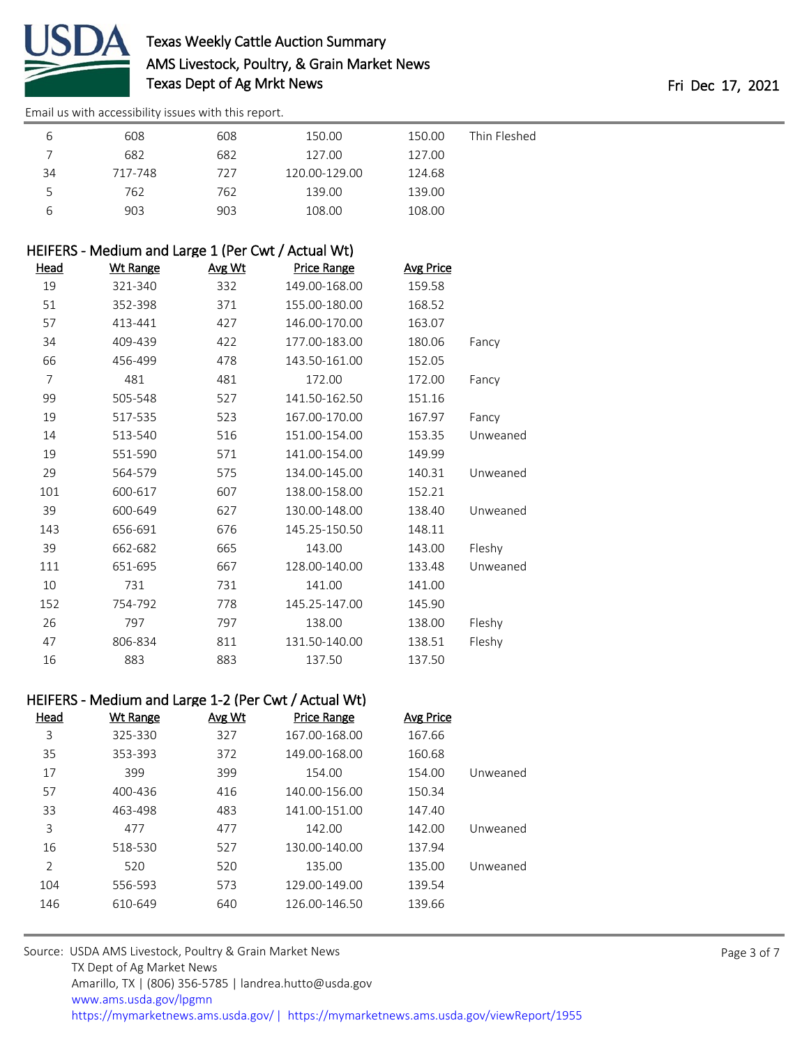

|    | 608     | 608 | 150.00        | 150.00 | Thin Fleshed |
|----|---------|-----|---------------|--------|--------------|
|    | 682     | 682 | 127.00        | 127.00 |              |
| 34 | 717-748 | 727 | 120.00-129.00 | 124.68 |              |
| 5  | 762     | 762 | 139.00        | 139.00 |              |
|    | 903     | 903 | 108.00        | 108.00 |              |

# HEIFERS - Medium and Large 1 (Per Cwt / Actual Wt)

| <u>Head</u> | <b>Wt Range</b> | Avg Wt | <b>Price Range</b> | <b>Avg Price</b> |          |
|-------------|-----------------|--------|--------------------|------------------|----------|
| 19          | 321-340         | 332    | 149.00-168.00      | 159.58           |          |
| 51          | 352-398         | 371    | 155.00-180.00      | 168.52           |          |
| 57          | 413-441         | 427    | 146.00-170.00      | 163.07           |          |
| 34          | 409-439         | 422    | 177.00-183.00      | 180.06           | Fancy    |
| 66          | 456-499         | 478    | 143.50-161.00      | 152.05           |          |
| 7           | 481             | 481    | 172.00             | 172.00           | Fancy    |
| 99          | 505-548         | 527    | 141.50-162.50      | 151.16           |          |
| 19          | 517-535         | 523    | 167.00-170.00      | 167.97           | Fancy    |
| 14          | 513-540         | 516    | 151.00-154.00      | 153.35           | Unweaned |
| 19          | 551-590         | 571    | 141.00-154.00      | 149.99           |          |
| 29          | 564-579         | 575    | 134.00-145.00      | 140.31           | Unweaned |
| 101         | 600-617         | 607    | 138.00-158.00      | 152.21           |          |
| 39          | 600-649         | 627    | 130.00-148.00      | 138.40           | Unweaned |
| 143         | 656-691         | 676    | 145.25-150.50      | 148.11           |          |
| 39          | 662-682         | 665    | 143.00             | 143.00           | Fleshy   |
| 111         | 651-695         | 667    | 128.00-140.00      | 133.48           | Unweaned |
| 10          | 731             | 731    | 141.00             | 141.00           |          |
| 152         | 754-792         | 778    | 145.25-147.00      | 145.90           |          |
| 26          | 797             | 797    | 138.00             | 138.00           | Fleshy   |
| 47          | 806-834         | 811    | 131.50-140.00      | 138.51           | Fleshy   |
| 16          | 883             | 883    | 137.50             | 137.50           |          |

# HEIFERS - Medium and Large 1-2 (Per Cwt / Actual Wt)

| Head           | Wt Range | Avg Wt | <b>Price Range</b> | <b>Avg Price</b> |          |
|----------------|----------|--------|--------------------|------------------|----------|
| 3              | 325-330  | 327    | 167.00-168.00      | 167.66           |          |
| 35             | 353-393  | 372    | 149.00-168.00      | 160.68           |          |
| 17             | 399      | 399    | 154.00             | 154.00           | Unweaned |
| 57             | 400-436  | 416    | 140.00-156.00      | 150.34           |          |
| 33             | 463-498  | 483    | 141.00-151.00      | 147.40           |          |
| 3              | 477      | 477    | 142.00             | 142.00           | Unweaned |
| 16             | 518-530  | 527    | 130.00-140.00      | 137.94           |          |
| $\overline{2}$ | 520      | 520    | 135.00             | 135.00           | Unweaned |
| 104            | 556-593  | 573    | 129.00-149.00      | 139.54           |          |
| 146            | 610-649  | 640    | 126.00-146.50      | 139.66           |          |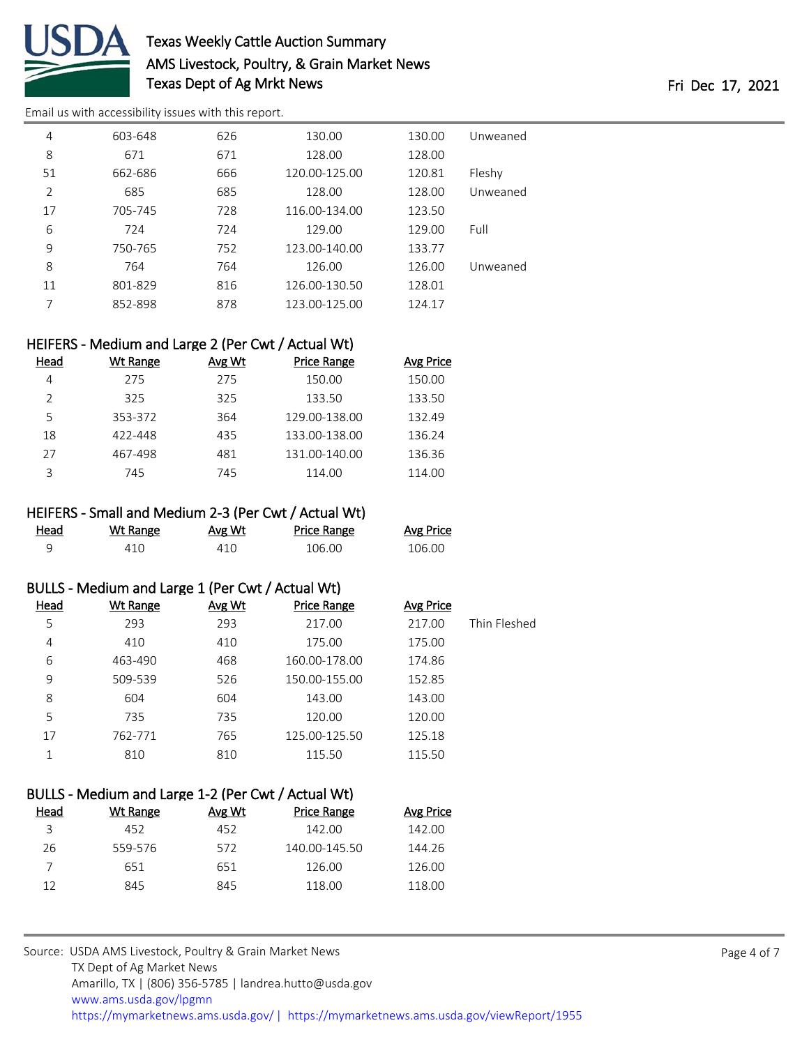

# Texas Weekly Cattle Auction Summary AMS Livestock, Poultry, & Grain Market News Texas Dept of Ag Mrkt News Fri Dec 17, 2021

[Email us with accessibility issues with this report.](mailto:mars@ams.usda.gov?subject=508%20issue)

| 4              | 603-648 | 626 | 130.00        | 130.00 | Unweaned |
|----------------|---------|-----|---------------|--------|----------|
| 8              | 671     | 671 | 128.00        | 128.00 |          |
| 51             | 662-686 | 666 | 120.00-125.00 | 120.81 | Fleshy   |
| $\overline{2}$ | 685     | 685 | 128.00        | 128.00 | Unweaned |
| 17             | 705-745 | 728 | 116.00-134.00 | 123.50 |          |
| 6              | 724     | 724 | 129.00        | 129.00 | Full     |
| 9              | 750-765 | 752 | 123.00-140.00 | 133.77 |          |
| 8              | 764     | 764 | 126.00        | 126.00 | Unweaned |
| 11             | 801-829 | 816 | 126.00-130.50 | 128.01 |          |
| 7              | 852-898 | 878 | 123.00-125.00 | 124.17 |          |

## HEIFERS - Medium and Large 2 (Per Cwt / Actual Wt)

| Head | Wt Range | Avg Wt | Price Range   | <b>Avg Price</b> |
|------|----------|--------|---------------|------------------|
| 4    | 275      | 275    | 150.00        | 150.00           |
|      | 325      | 325    | 133.50        | 133.50           |
| 5    | 353-372  | 364    | 129.00-138.00 | 132.49           |
| 18   | 422-448  | 435    | 133.00-138.00 | 136.24           |
| 27   | 467-498  | 481    | 131.00-140.00 | 136.36           |
| っ    | 745      | 745    | 114.00        | 114.00           |

#### HEIFERS - Small and Medium 2-3 (Per Cwt / Actual Wt)

| Head | Wt Range | Avg Wt | Price Range | <b>Avg Price</b> |
|------|----------|--------|-------------|------------------|
|      | 410      | 410    | 106.00      | 106.00           |

#### BULLS - Medium and Large 1 (Per Cwt / Actual Wt)

| Head | Wt Range | Avg Wt | <b>Price Range</b> | Avg Price |              |
|------|----------|--------|--------------------|-----------|--------------|
| 5    | 293      | 293    | 217.00             | 217.00    | Thin Fleshed |
| 4    | 410      | 410    | 175.00             | 175.00    |              |
| 6    | 463-490  | 468    | 160.00-178.00      | 174.86    |              |
| 9    | 509-539  | 526    | 150.00-155.00      | 152.85    |              |
| 8    | 604      | 604    | 143.00             | 143.00    |              |
| 5    | 735      | 735    | 120.00             | 120.00    |              |
| 17   | 762-771  | 765    | 125.00-125.50      | 125.18    |              |
|      | 810      | 810    | 115.50             | 115.50    |              |

# BULLS - Medium and Large 1-2 (Per Cwt / Actual Wt)

| Wt Range | Avg Wt | <b>Price Range</b> | Avg Price |
|----------|--------|--------------------|-----------|
| 452      | 452    | 142.00             | 142.00    |
| 559-576  | 572    | 140.00-145.50      | 144.26    |
| 651      | 651    | 126.00             | 126.00    |
| 845      | 845    | 118.00             | 118.00    |
|          |        |                    |           |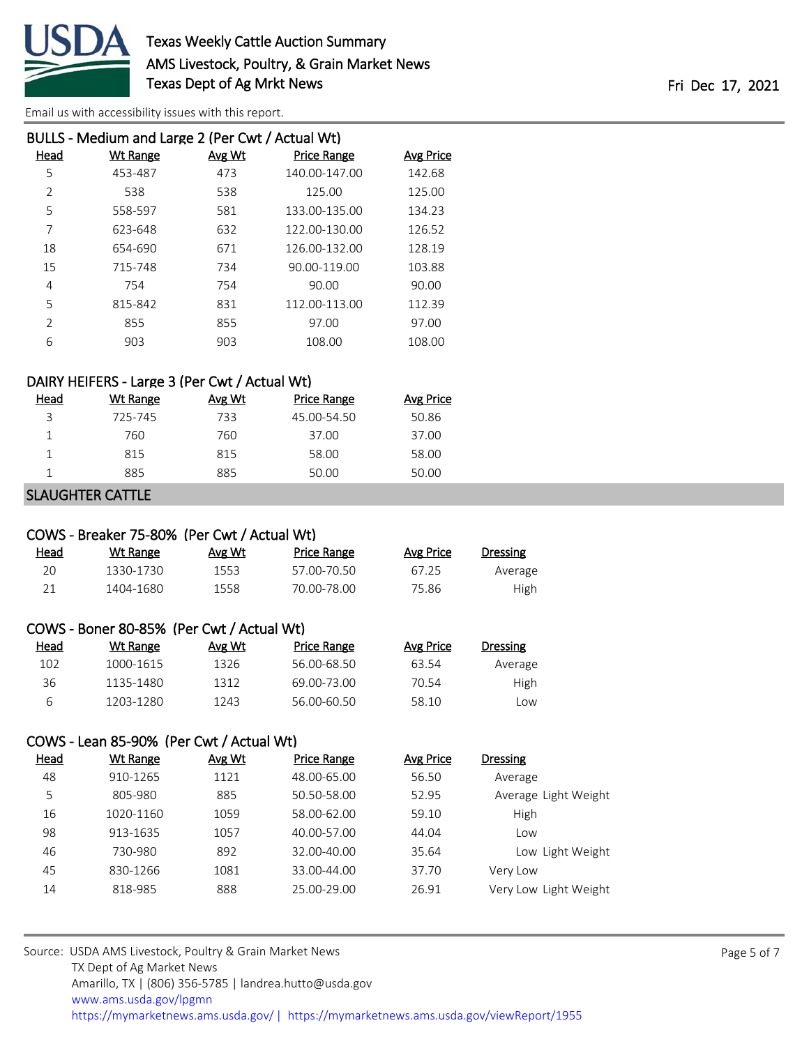

|                | BULLS - Medium and Large 2 (Per Cwt / Actual Wt) |        |                    |           |
|----------------|--------------------------------------------------|--------|--------------------|-----------|
| Head           | <b>Wt Range</b>                                  | Avg Wt | <b>Price Range</b> | Avg Price |
| 5              | 453-487                                          | 473    | 140.00-147.00      | 142.68    |
| 2              | 538                                              | 538    | 125.00             | 125.00    |
| 5              | 558-597                                          | 581    | 133.00-135.00      | 134.23    |
| 7              | 623-648                                          | 632    | 122.00-130.00      | 126.52    |
| 18             | 654-690                                          | 671    | 126.00-132.00      | 128.19    |
| 15             | 715-748                                          | 734    | 90.00-119.00       | 103.88    |
| 4              | 754                                              | 754    | 90.00              | 90.00     |
| 5              | 815-842                                          | 831    | 112.00-113.00      | 112.39    |
| $\mathfrak{D}$ | 855                                              | 855    | 97.00              | 97.00     |
| 6              | 903                                              | 903    | 108.00             | 108.00    |
|                |                                                  |        |                    |           |

#### DAIRY HEIFERS - Large 3 (Per Cwt / Actual Wt)

| Head | Wt Range | Avg Wt | <b>Price Range</b> | Avg Price |
|------|----------|--------|--------------------|-----------|
| 3    | 725-745  | 733    | 45.00-54.50        | 50.86     |
|      | 760      | 760    | 37.00              | 37.00     |
|      | 815      | 815    | 58.00              | 58.00     |
|      | 885      | 885    | 50.00              | 50.00     |

#### SLAUGHTER CATTLE

## COWS - Breaker 75-80% (Per Cwt / Actual Wt)

| <u>Head</u> | Wt Range  | Avg Wt | Price Range | Avg Price | <b>Dressing</b> |
|-------------|-----------|--------|-------------|-----------|-----------------|
| 20          | 1330-1730 | 1553   | 57.00-70.50 | 67.25     | Average         |
| 21          | 1404-1680 | 1558   | 70.00-78.00 | 75.86     | High            |

|      | COWS - Boner 80-85% (Per Cwt / Actual Wt) |        |                    |
|------|-------------------------------------------|--------|--------------------|
| Head | Wt Range                                  | Avg Wt | <b>Price Range</b> |

| 102 | 1000-1615 | 1326 | 56.00-68.50 | 63.54 | Average     |
|-----|-----------|------|-------------|-------|-------------|
| 36  | 1135-1480 | 1312 | 69.00-73.00 | 70.54 | <b>High</b> |
|     | 1203-1280 | 1243 | 56.00-60.50 | 58.10 | LOW.        |

# COWS - Lean 85-90% (Per Cwt / Actual Wt)

| Head | Wt Range  | Avg Wt | <b>Price Range</b> | Avg Price | <b>Dressing</b>       |
|------|-----------|--------|--------------------|-----------|-----------------------|
| 48   | 910-1265  | 1121   | 48.00-65.00        | 56.50     | Average               |
| 5    | 805-980   | 885    | 50.50-58.00        | 52.95     | Average Light Weight  |
| 16   | 1020-1160 | 1059   | 58.00-62.00        | 59.10     | High                  |
| 98   | 913-1635  | 1057   | 40.00-57.00        | 44.04     | Low                   |
| 46   | 730-980   | 892    | 32.00-40.00        | 35.64     | Low Light Weight      |
| 45   | 830-1266  | 1081   | 33.00-44.00        | 37.70     | Very Low              |
| 14   | 818-985   | 888    | 25.00-29.00        | 26.91     | Very Low Light Weight |

Avg Price Dressing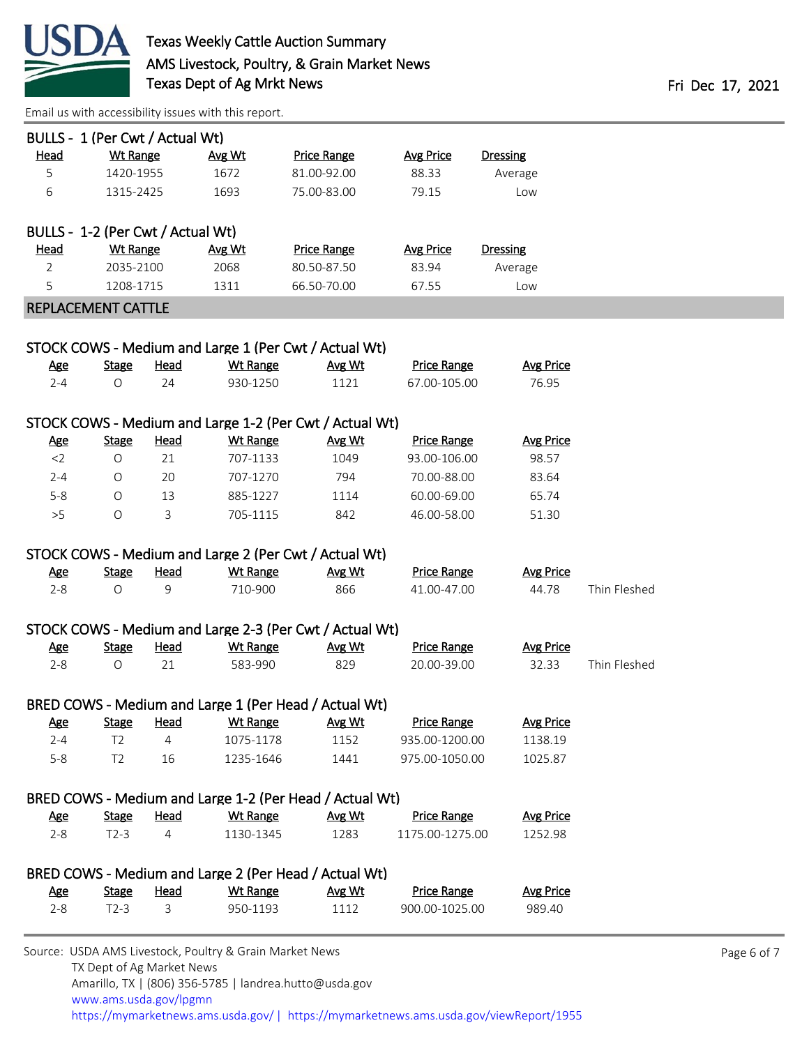

| BULLS - 1 (Per Cwt / Actual Wt)   |                       |              |                 |                                                         |                                    |                  |              |  |
|-----------------------------------|-----------------------|--------------|-----------------|---------------------------------------------------------|------------------------------------|------------------|--------------|--|
| <b>Head</b>                       | <b>Wt Range</b>       |              | Avg Wt          | <b>Price Range</b>                                      | <b>Avg Price</b>                   | <b>Dressing</b>  |              |  |
| 5                                 | 1420-1955             |              | 1672            | 81.00-92.00                                             | 88.33                              | Average          |              |  |
| 6                                 | 1315-2425             |              | 1693            | 75.00-83.00                                             | 79.15                              | Low              |              |  |
|                                   |                       |              |                 |                                                         |                                    |                  |              |  |
| BULLS - 1-2 (Per Cwt / Actual Wt) |                       |              |                 |                                                         |                                    |                  |              |  |
| <u>Head</u>                       | <b>Wt Range</b>       |              | Avg Wt          | <b>Price Range</b>                                      | <b>Avg Price</b>                   | <b>Dressing</b>  |              |  |
| $\overline{2}$                    | 2035-2100             |              | 2068            | 80.50-87.50                                             | 83.94                              | Average          |              |  |
| 5                                 | 1208-1715             |              | 1311            | 66.50-70.00                                             | 67.55                              | Low              |              |  |
| REPLACEMENT CATTLE                |                       |              |                 |                                                         |                                    |                  |              |  |
|                                   |                       |              |                 |                                                         |                                    |                  |              |  |
|                                   |                       |              |                 | STOCK COWS - Medium and Large 1 (Per Cwt / Actual Wt)   |                                    |                  |              |  |
| <u>Age</u>                        | <b>Stage</b>          | <b>Head</b>  | <b>Wt Range</b> | Avg Wt                                                  | <b>Price Range</b>                 | <b>Avg Price</b> |              |  |
| $2 - 4$                           | O                     | 24           | 930-1250        | 1121                                                    | 67.00-105.00                       | 76.95            |              |  |
|                                   |                       |              |                 |                                                         |                                    |                  |              |  |
|                                   |                       |              |                 | STOCK COWS - Medium and Large 1-2 (Per Cwt / Actual Wt) |                                    |                  |              |  |
| <u>Age</u>                        | <b>Stage</b>          | <b>Head</b>  | <b>Wt Range</b> | Avg Wt                                                  | <b>Price Range</b><br>93.00-106.00 | <b>Avg Price</b> |              |  |
| $<$ 2                             | $\bigcirc$            | 21           | 707-1133        | 1049                                                    |                                    | 98.57            |              |  |
| $2 - 4$                           | $\circ$               | 20<br>13     | 707-1270        | 794                                                     | 70.00-88.00<br>60.00-69.00         | 83.64            |              |  |
| $5 - 8$                           | $\bigcirc$<br>$\circ$ |              | 885-1227        | 1114                                                    |                                    | 65.74            |              |  |
| >5                                |                       | 3            | 705-1115        | 842                                                     | 46.00-58.00                        | 51.30            |              |  |
|                                   |                       |              |                 | STOCK COWS - Medium and Large 2 (Per Cwt / Actual Wt)   |                                    |                  |              |  |
| <b>Age</b>                        | <b>Stage</b>          | <u>Head</u>  | <b>Wt Range</b> | Avg Wt                                                  | <b>Price Range</b>                 | <b>Avg Price</b> |              |  |
| $2 - 8$                           | $\circ$               | 9            | 710-900         | 866                                                     | 41.00-47.00                        | 44.78            | Thin Fleshed |  |
|                                   |                       |              |                 |                                                         |                                    |                  |              |  |
|                                   |                       |              |                 | STOCK COWS - Medium and Large 2-3 (Per Cwt / Actual Wt) |                                    |                  |              |  |
| <u>Age</u>                        | <b>Stage</b>          | <b>Head</b>  | <b>Wt Range</b> | Avg Wt                                                  | <b>Price Range</b>                 | <b>Avg Price</b> |              |  |
| $2 - 8$                           | $\bigcirc$            | 21           | 583-990         | 829                                                     | 20.00-39.00                        | 32.33            | Thin Fleshed |  |
|                                   |                       |              |                 |                                                         |                                    |                  |              |  |
|                                   |                       |              |                 | BRED COWS - Medium and Large 1 (Per Head / Actual Wt)   |                                    |                  |              |  |
| <u>Age</u>                        | <b>Stage</b>          | Head         | <u>Wt Range</u> | <u>Avg Wt</u>                                           | <u>Price Range</u>                 | <b>Avg Price</b> |              |  |
| $2 - 4$                           | T <sub>2</sub>        | 4            | 1075-1178       | 1152                                                    | 935.00-1200.00                     | 1138.19          |              |  |
| $5 - 8$                           | T <sub>2</sub>        | 16           | 1235-1646       | 1441                                                    | 975.00-1050.00                     | 1025.87          |              |  |
|                                   |                       |              |                 |                                                         |                                    |                  |              |  |
|                                   |                       |              |                 | BRED COWS - Medium and Large 1-2 (Per Head / Actual Wt) |                                    |                  |              |  |
| <u>Age</u>                        | <b>Stage</b>          | <b>Head</b>  | <b>Wt Range</b> | Avg Wt                                                  | <b>Price Range</b>                 | <b>Avg Price</b> |              |  |
| $2 - 8$                           | $T2-3$                | 4            | 1130-1345       | 1283                                                    | 1175.00-1275.00                    | 1252.98          |              |  |
|                                   |                       |              |                 | BRED COWS - Medium and Large 2 (Per Head / Actual Wt)   |                                    |                  |              |  |
| <u>Age</u>                        | <b>Stage</b>          | <b>Head</b>  | <b>Wt Range</b> | Avg Wt                                                  | <b>Price Range</b>                 | <b>Avg Price</b> |              |  |
| $2 - 8$                           | $T2-3$                | $\mathsf{3}$ | 950-1193        | 1112                                                    | 900.00-1025.00                     | 989.40           |              |  |
|                                   |                       |              |                 |                                                         |                                    |                  |              |  |